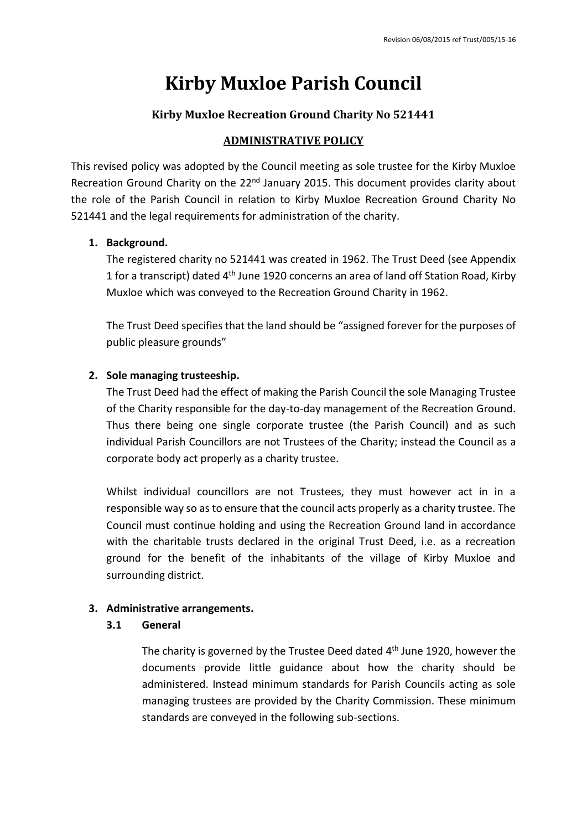# **Kirby Muxloe Parish Council**

## **Kirby Muxloe Recreation Ground Charity No 521441**

## **ADMINISTRATIVE POLICY**

This revised policy was adopted by the Council meeting as sole trustee for the Kirby Muxloe Recreation Ground Charity on the 22<sup>nd</sup> January 2015. This document provides clarity about the role of the Parish Council in relation to Kirby Muxloe Recreation Ground Charity No 521441 and the legal requirements for administration of the charity.

## **1. Background.**

The registered charity no 521441 was created in 1962. The Trust Deed (see Appendix 1 for a transcript) dated 4<sup>th</sup> June 1920 concerns an area of land off Station Road, Kirby Muxloe which was conveyed to the Recreation Ground Charity in 1962.

The Trust Deed specifies that the land should be "assigned forever for the purposes of public pleasure grounds"

# **2. Sole managing trusteeship.**

The Trust Deed had the effect of making the Parish Council the sole Managing Trustee of the Charity responsible for the day-to-day management of the Recreation Ground. Thus there being one single corporate trustee (the Parish Council) and as such individual Parish Councillors are not Trustees of the Charity; instead the Council as a corporate body act properly as a charity trustee.

Whilst individual councillors are not Trustees, they must however act in in a responsible way so as to ensure that the council acts properly as a charity trustee. The Council must continue holding and using the Recreation Ground land in accordance with the charitable trusts declared in the original Trust Deed, i.e. as a recreation ground for the benefit of the inhabitants of the village of Kirby Muxloe and surrounding district.

## **3. Administrative arrangements.**

## **3.1 General**

The charity is governed by the Trustee Deed dated 4<sup>th</sup> June 1920, however the documents provide little guidance about how the charity should be administered. Instead minimum standards for Parish Councils acting as sole managing trustees are provided by the Charity Commission. These minimum standards are conveyed in the following sub-sections.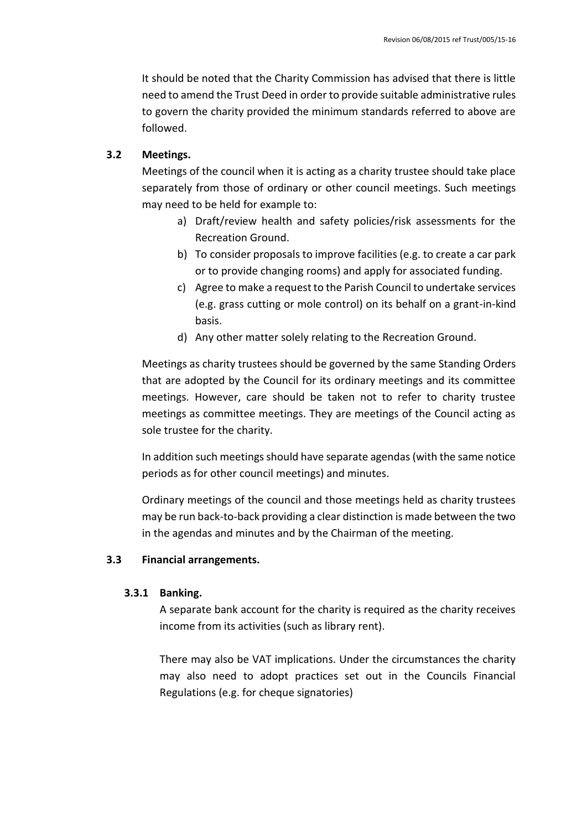It should be noted that the Charity Commission has advised that there is little need to amend the Trust Deed in order to provide suitable administrative rules to govern the charity provided the minimum standards referred to above are followed.

## **3.2 Meetings.**

Meetings of the council when it is acting as a charity trustee should take place separately from those of ordinary or other council meetings. Such meetings may need to be held for example to:

- a) Draft/review health and safety policies/risk assessments for the Recreation Ground.
- b) To consider proposals to improve facilities (e.g. to create a car park or to provide changing rooms) and apply for associated funding.
- c) Agree to make a request to the Parish Council to undertake services (e.g. grass cutting or mole control) on its behalf on a grant-in-kind basis.
- d) Any other matter solely relating to the Recreation Ground.

Meetings as charity trustees should be governed by the same Standing Orders that are adopted by the Council for its ordinary meetings and its committee meetings. However, care should be taken not to refer to charity trustee meetings as committee meetings. They are meetings of the Council acting as sole trustee for the charity.

In addition such meetings should have separate agendas (with the same notice periods as for other council meetings) and minutes.

Ordinary meetings of the council and those meetings held as charity trustees may be run back-to-back providing a clear distinction is made between the two in the agendas and minutes and by the Chairman of the meeting.

## **3.3 Financial arrangements.**

## **3.3.1 Banking.**

A separate bank account for the charity is required as the charity receives income from its activities (such as library rent).

There may also be VAT implications. Under the circumstances the charity may also need to adopt practices set out in the Councils Financial Regulations (e.g. for cheque signatories)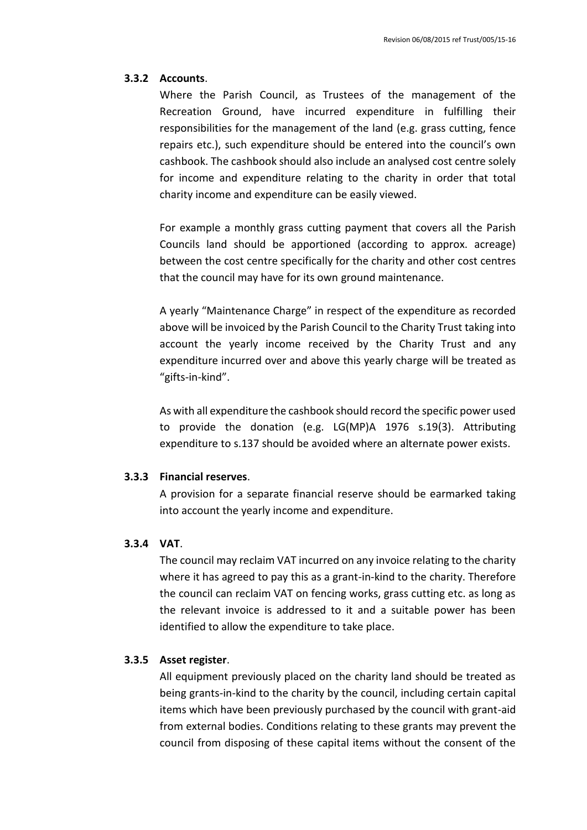#### **3.3.2 Accounts**.

Where the Parish Council, as Trustees of the management of the Recreation Ground, have incurred expenditure in fulfilling their responsibilities for the management of the land (e.g. grass cutting, fence repairs etc.), such expenditure should be entered into the council's own cashbook. The cashbook should also include an analysed cost centre solely for income and expenditure relating to the charity in order that total charity income and expenditure can be easily viewed.

For example a monthly grass cutting payment that covers all the Parish Councils land should be apportioned (according to approx. acreage) between the cost centre specifically for the charity and other cost centres that the council may have for its own ground maintenance.

A yearly "Maintenance Charge" in respect of the expenditure as recorded above will be invoiced by the Parish Council to the Charity Trust taking into account the yearly income received by the Charity Trust and any expenditure incurred over and above this yearly charge will be treated as "gifts-in-kind".

As with all expenditure the cashbook should record the specific power used to provide the donation (e.g. LG(MP)A 1976 s.19(3). Attributing expenditure to s.137 should be avoided where an alternate power exists.

#### **3.3.3 Financial reserves**.

A provision for a separate financial reserve should be earmarked taking into account the yearly income and expenditure.

## **3.3.4 VAT**.

The council may reclaim VAT incurred on any invoice relating to the charity where it has agreed to pay this as a grant-in-kind to the charity. Therefore the council can reclaim VAT on fencing works, grass cutting etc. as long as the relevant invoice is addressed to it and a suitable power has been identified to allow the expenditure to take place.

#### **3.3.5 Asset register**.

All equipment previously placed on the charity land should be treated as being grants-in-kind to the charity by the council, including certain capital items which have been previously purchased by the council with grant-aid from external bodies. Conditions relating to these grants may prevent the council from disposing of these capital items without the consent of the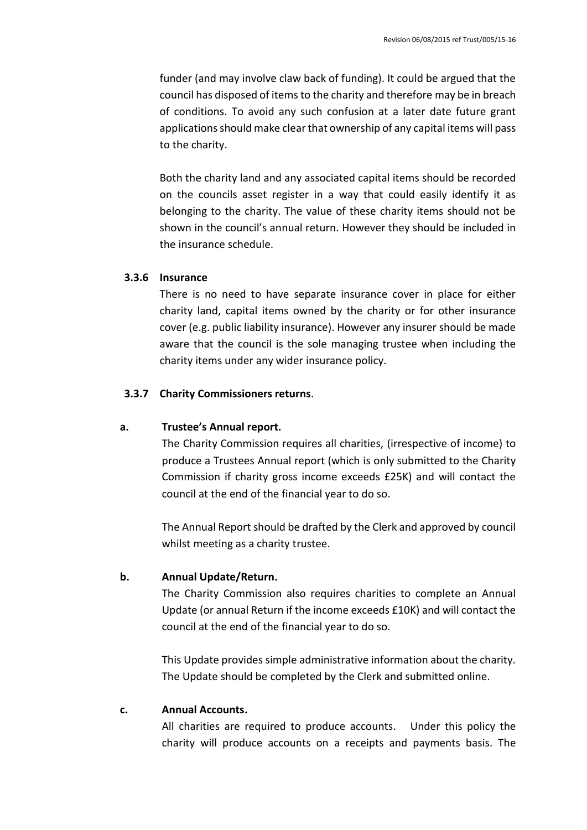funder (and may involve claw back of funding). It could be argued that the council has disposed of items to the charity and therefore may be in breach of conditions. To avoid any such confusion at a later date future grant applications should make clear that ownership of any capital items will pass to the charity.

Both the charity land and any associated capital items should be recorded on the councils asset register in a way that could easily identify it as belonging to the charity. The value of these charity items should not be shown in the council's annual return. However they should be included in the insurance schedule.

### **3.3.6 Insurance**

There is no need to have separate insurance cover in place for either charity land, capital items owned by the charity or for other insurance cover (e.g. public liability insurance). However any insurer should be made aware that the council is the sole managing trustee when including the charity items under any wider insurance policy.

## **3.3.7 Charity Commissioners returns**.

#### **a. Trustee's Annual report.**

The Charity Commission requires all charities, (irrespective of income) to produce a Trustees Annual report (which is only submitted to the Charity Commission if charity gross income exceeds £25K) and will contact the council at the end of the financial year to do so.

The Annual Report should be drafted by the Clerk and approved by council whilst meeting as a charity trustee.

#### **b. Annual Update/Return.**

The Charity Commission also requires charities to complete an Annual Update (or annual Return if the income exceeds £10K) and will contact the council at the end of the financial year to do so.

This Update provides simple administrative information about the charity. The Update should be completed by the Clerk and submitted online.

#### **c. Annual Accounts.**

All charities are required to produce accounts. Under this policy the charity will produce accounts on a receipts and payments basis. The